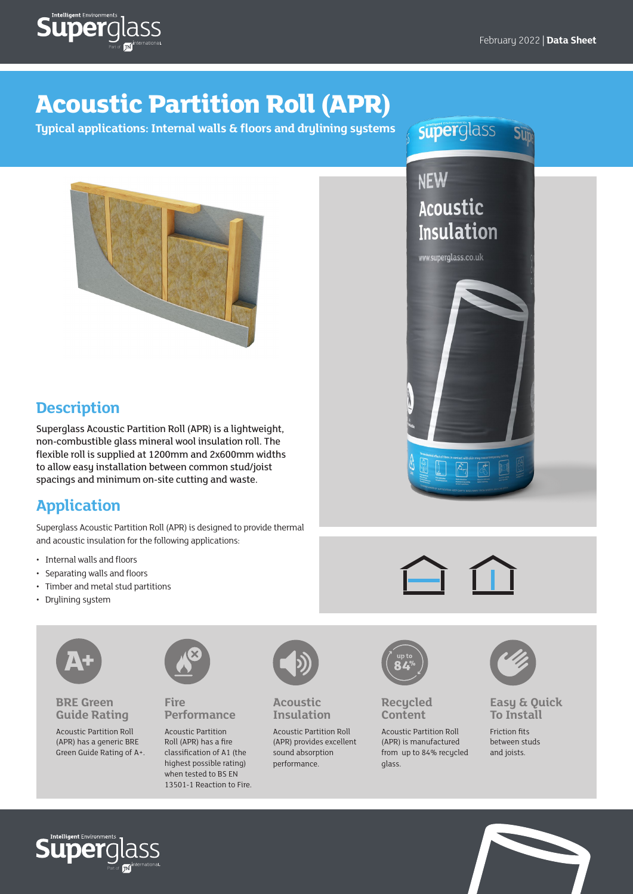

# **Acoustic Partition Roll (APR)**

**Typical applications: Internal walls & floors and drylining systems**

superglass Sup

**NEW** 

Acoustic

www.superglass.co.uk

**Insulation** 



## **Description**

Superglass Acoustic Partition Roll (APR) is a lightweight, non-combustible glass mineral wool insulation roll. The flexible roll is supplied at 1200mm and 2x600mm widths to allow easy installation between common stud/joist spacings and minimum on-site cutting and waste.

### **Application**

Superglass Acoustic Partition Roll (APR) is designed to provide thermal and acoustic insulation for the following applications:

- Internal walls and floors
- Separating walls and floors
- Timber and metal stud partitions
- Drylining system



**BRE Green Guide Rating**

Acoustic Partition Roll (APR) has a generic BRE Green Guide Rating of A+.



**Fire Performance**

Acoustic Partition Roll (APR) has a fire classification of A1 (the highest possible rating) when tested to BS EN 13501-1 Reaction to Fire.



**Acoustic Insulation**

Acoustic Partition Roll (APR) provides excellent sound absorption performance.



**Recycled Content**

Acoustic Partition Roll (APR) is manufactured from up to 84% recycled glass.



**Easy & Quick To Install**

Friction fits between studs and joists.